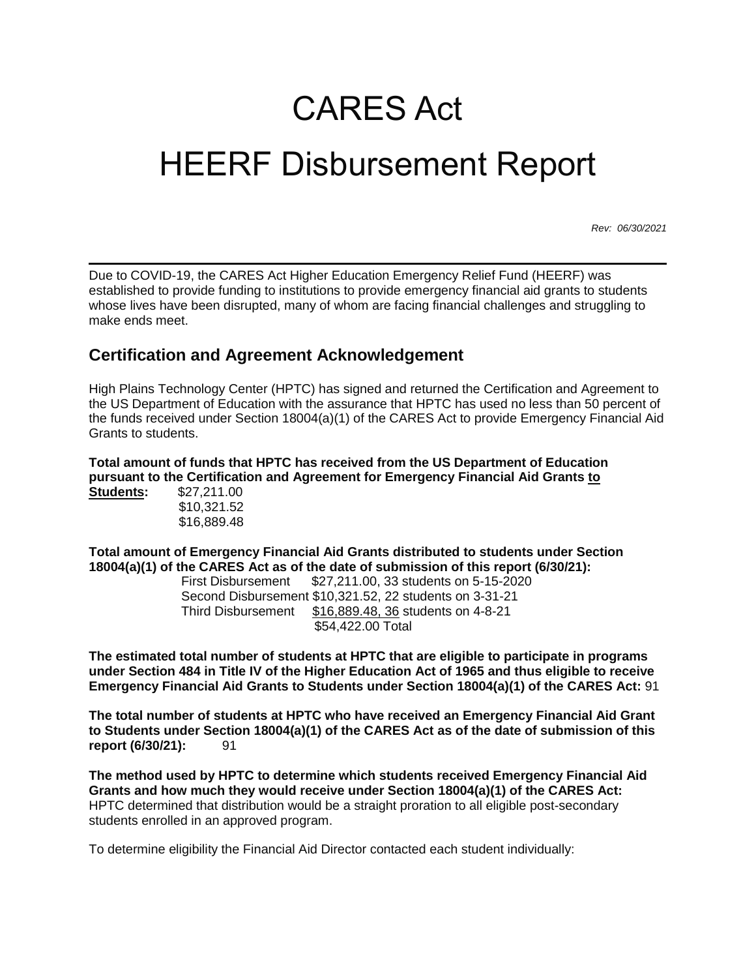## CARES Act HEERF Disbursement Report

*Rev: 06/30/2021*

Due to COVID-19, the CARES Act Higher Education Emergency Relief Fund (HEERF) was established to provide funding to institutions to provide emergency financial aid grants to students whose lives have been disrupted, many of whom are facing financial challenges and struggling to make ends meet.

## **Certification and Agreement Acknowledgement**

High Plains Technology Center (HPTC) has signed and returned the Certification and Agreement to the US Department of Education with the assurance that HPTC has used no less than 50 percent of the funds received under Section 18004(a)(1) of the CARES Act to provide Emergency Financial Aid Grants to students.

**Total amount of funds that HPTC has received from the US Department of Education pursuant to the Certification and Agreement for Emergency Financial Aid Grants to Students:** \$27,211.00

| \$10,321.52 |
|-------------|
| \$16,889.48 |

**Total amount of Emergency Financial Aid Grants distributed to students under Section 18004(a)(1) of the CARES Act as of the date of submission of this report (6/30/21):** 

First Disbursement \$27,211.00, 33 students on 5-15-2020 Second Disbursement \$10,321.52, 22 students on 3-31-21 Third Disbursement \$16,889.48, 36 students on 4-8-21 \$54,422.00 Total

**The estimated total number of students at HPTC that are eligible to participate in programs under Section 484 in Title IV of the Higher Education Act of 1965 and thus eligible to receive Emergency Financial Aid Grants to Students under Section 18004(a)(1) of the CARES Act:** 91

**The total number of students at HPTC who have received an Emergency Financial Aid Grant to Students under Section 18004(a)(1) of the CARES Act as of the date of submission of this report** (6/30/21): 91

**The method used by HPTC to determine which students received Emergency Financial Aid Grants and how much they would receive under Section 18004(a)(1) of the CARES Act:** HPTC determined that distribution would be a straight proration to all eligible post-secondary students enrolled in an approved program.

To determine eligibility the Financial Aid Director contacted each student individually: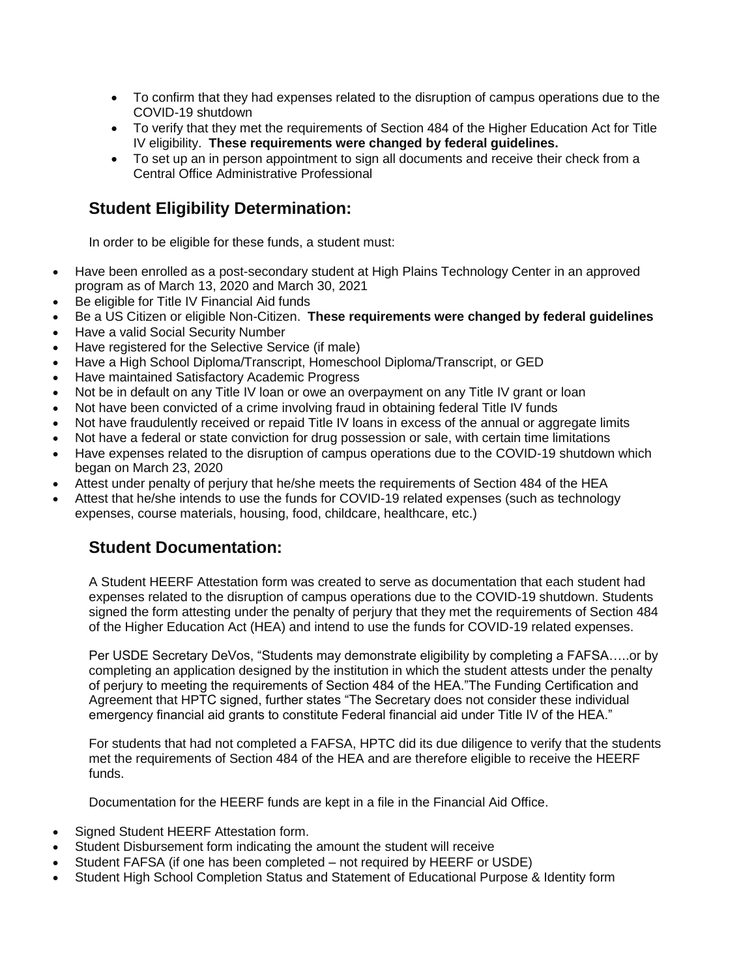- To confirm that they had expenses related to the disruption of campus operations due to the COVID-19 shutdown
- To verify that they met the requirements of Section 484 of the Higher Education Act for Title IV eligibility. **These requirements were changed by federal guidelines.**
- To set up an in person appointment to sign all documents and receive their check from a Central Office Administrative Professional

## **Student Eligibility Determination:**

In order to be eligible for these funds, a student must:

- Have been enrolled as a post-secondary student at High Plains Technology Center in an approved program as of March 13, 2020 and March 30, 2021
- Be eligible for Title IV Financial Aid funds
- Be a US Citizen or eligible Non-Citizen. **These requirements were changed by federal guidelines**
- Have a valid Social Security Number
- Have registered for the Selective Service (if male)
- Have a High School Diploma/Transcript, Homeschool Diploma/Transcript, or GED
- Have maintained Satisfactory Academic Progress
- Not be in default on any Title IV loan or owe an overpayment on any Title IV grant or loan
- Not have been convicted of a crime involving fraud in obtaining federal Title IV funds
- Not have fraudulently received or repaid Title IV loans in excess of the annual or aggregate limits
- Not have a federal or state conviction for drug possession or sale, with certain time limitations
- Have expenses related to the disruption of campus operations due to the COVID-19 shutdown which began on March 23, 2020
- Attest under penalty of perjury that he/she meets the requirements of Section 484 of the HEA
- Attest that he/she intends to use the funds for COVID-19 related expenses (such as technology expenses, course materials, housing, food, childcare, healthcare, etc.)

## **Student Documentation:**

A Student HEERF Attestation form was created to serve as documentation that each student had expenses related to the disruption of campus operations due to the COVID-19 shutdown. Students signed the form attesting under the penalty of perjury that they met the requirements of Section 484 of the Higher Education Act (HEA) and intend to use the funds for COVID-19 related expenses.

Per USDE Secretary DeVos, "Students may demonstrate eligibility by completing a FAFSA…..or by completing an application designed by the institution in which the student attests under the penalty of perjury to meeting the requirements of Section 484 of the HEA."The Funding Certification and Agreement that HPTC signed, further states "The Secretary does not consider these individual emergency financial aid grants to constitute Federal financial aid under Title IV of the HEA."

For students that had not completed a FAFSA, HPTC did its due diligence to verify that the students met the requirements of Section 484 of the HEA and are therefore eligible to receive the HEERF funds.

Documentation for the HEERF funds are kept in a file in the Financial Aid Office.

- Signed Student HEERF Attestation form.
- Student Disbursement form indicating the amount the student will receive
- Student FAFSA (if one has been completed not required by HEERF or USDE)
- Student High School Completion Status and Statement of Educational Purpose & Identity form